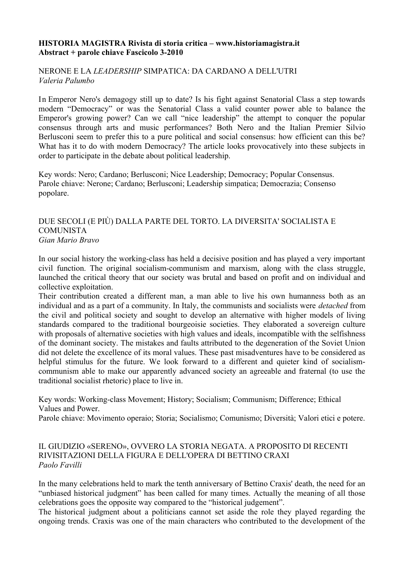### **HISTORIA MAGISTRA Rivista di storia critica – www.historiamagistra.it Abstract + parole chiave Fascicolo 3-2010**

## NERONE E LA *LEADERSHIP* SIMPATICA: DA CARDANO A DELL'UTRI *Valeria Palumbo*

In Emperor Nero's demagogy still up to date? Is his fight against Senatorial Class a step towards modern "Democracy" or was the Senatorial Class a valid counter power able to balance the Emperor's growing power? Can we call "nice leadership" the attempt to conquer the popular consensus through arts and music performances? Both Nero and the Italian Premier Silvio Berlusconi seem to prefer this to a pure political and social consensus: how efficient can this be? What has it to do with modern Democracy? The article looks provocatively into these subjects in order to participate in the debate about political leadership.

Key words: Nero; Cardano; Berlusconi; Nice Leadership; Democracy; Popular Consensus. Parole chiave: Nerone; Cardano; Berlusconi; Leadership simpatica; Democrazia; Consenso popolare.

#### DUE SECOLI (E PIÙ) DALLA PARTE DEL TORTO. LA DIVERSITA' SOCIALISTA E **COMUNISTA** *Gian Mario Bravo*

In our social history the working-class has held a decisive position and has played a very important civil function. The original socialism-communism and marxism, along with the class struggle, launched the critical theory that our society was brutal and based on profit and on individual and collective exploitation.

Their contribution created a different man, a man able to live his own humanness both as an individual and as a part of a community. In Italy, the communists and socialists were *detached* from the civil and political society and sought to develop an alternative with higher models of living standards compared to the traditional bourgeoisie societies. They elaborated a sovereign culture with proposals of alternative societies with high values and ideals, incompatible with the selfishness of the dominant society. The mistakes and faults attributed to the degeneration of the Soviet Union did not delete the excellence of its moral values. These past misadventures have to be considered as helpful stimulus for the future. We look forward to a different and quieter kind of socialismcommunism able to make our apparently advanced society an agreeable and fraternal (to use the traditional socialist rhetoric) place to live in.

Key words: Working-class Movement; History; Socialism; Communism; Difference; Ethical Values and Power.

Parole chiave: Movimento operaio; Storia; Socialismo; Comunismo; Diversità; Valori etici e potere.

## IL GIUDIZIO «SERENO», OVVERO LA STORIA NEGATA. A PROPOSITO DI RECENTI RIVISITAZIONI DELLA FIGURA E DELL'OPERA DI BETTINO CRAXI *Paolo Favilli*

In the many celebrations held to mark the tenth anniversary of Bettino Craxis' death, the need for an "unbiased historical judgment" has been called for many times. Actually the meaning of all those celebrations goes the opposite way compared to the "historical judgement".

The historical judgment about a politicians cannot set aside the role they played regarding the ongoing trends. Craxis was one of the main characters who contributed to the development of the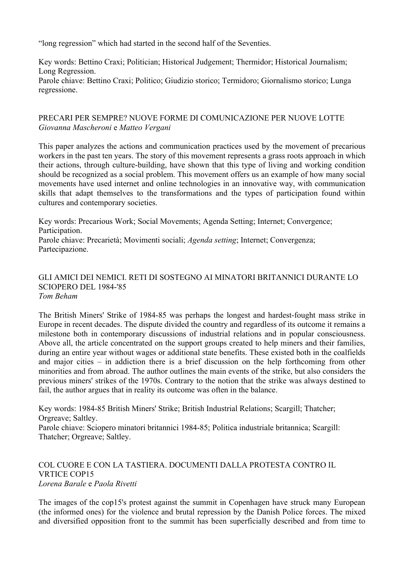"long regression" which had started in the second half of the Seventies.

Key words: Bettino Craxi; Politician; Historical Judgement; Thermidor; Historical Journalism; Long Regression. Parole chiave: Bettino Craxi; Politico; Giudizio storico; Termidoro; Giornalismo storico; Lunga regressione.

# PRECARI PER SEMPRE? NUOVE FORME DI COMUNICAZIONE PER NUOVE LOTTE *Giovanna Mascheroni* e *Matteo Vergani*

This paper analyzes the actions and communication practices used by the movement of precarious workers in the past ten years. The story of this movement represents a grass roots approach in which their actions, through culture-building, have shown that this type of living and working condition should be recognized as a social problem. This movement offers us an example of how many social movements have used internet and online technologies in an innovative way, with communication skills that adapt themselves to the transformations and the types of participation found within cultures and contemporary societies.

Key words: Precarious Work; Social Movements; Agenda Setting; Internet; Convergence; Participation. Parole chiave: Precarietà; Movimenti sociali; *Agenda setting*; Internet; Convergenza; Partecipazione.

### GLI AMICI DEI NEMICI. RETI DI SOSTEGNO AI MINATORI BRITANNICI DURANTE LO SCIOPERO DEL 1984-'85 *Tom Beham*

The British Miners' Strike of 1984-85 was perhaps the longest and hardest-fought mass strike in Europe in recent decades. The dispute divided the country and regardless of its outcome it remains a milestone both in contemporary discussions of industrial relations and in popular consciousness. Above all, the article concentrated on the support groups created to help miners and their families, during an entire year without wages or additional state benefits. These existed both in the coalfields and major cities – in addiction there is a brief discussion on the help forthcoming from other minorities and from abroad. The author outlines the main events of the strike, but also considers the previous miners' strikes of the 1970s. Contrary to the notion that the strike was always destined to fail, the author argues that in reality its outcome was often in the balance.

Key words: 1984-85 British Miners' Strike; British Industrial Relations; Scargill; Thatcher; Orgreave; Saltley.

Parole chiave: Sciopero minatori britannici 1984-85; Politica industriale britannica; Scargill: Thatcher; Orgreave; Saltley.

## COL CUORE E CON LA TASTIERA. DOCUMENTI DALLA PROTESTA CONTRO IL VRTICE COP15 *Lorena Barale* e *Paola Rivetti*

The images of the cop15's protest against the summit in Copenhagen have struck many European (the informed ones) for the violence and brutal repression by the Danish Police forces. The mixed and diversified opposition front to the summit has been superficially described and from time to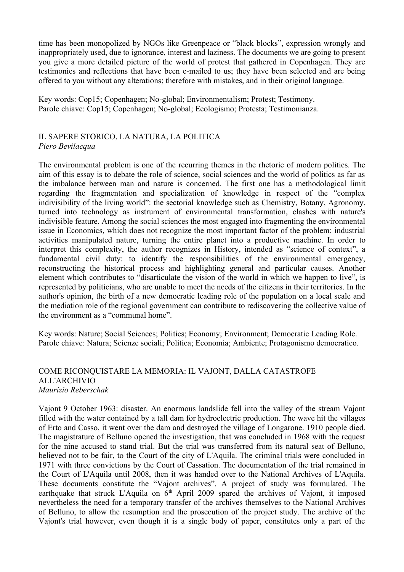time has been monopolized by NGOs like Greenpeace or "black blocks", expression wrongly and inappropriately used, due to ignorance, interest and laziness. The documents we are going to present you give a more detailed picture of the world of protest that gathered in Copenhagen. They are testimonies and reflections that have been e-mailed to us; they have been selected and are being offered to you without any alterations; therefore with mistakes, and in their original language.

Key words: Cop15; Copenhagen; No-global; Environmentalism; Protest; Testimony. Parole chiave: Cop15; Copenhagen; No-global; Ecologismo; Protesta; Testimonianza.

#### IL SAPERE STORICO, LA NATURA, LA POLITICA *Piero Bevilacqua*

The environmental problem is one of the recurring themes in the rhetoric of modern politics. The aim of this essay is to debate the role of science, social sciences and the world of politics as far as the imbalance between man and nature is concerned. The first one has a methodological limit regarding the fragmentation and specialization of knowledge in respect of the "complex indivisibility of the living world": the sectorial knowledge such as Chemistry, Botany, Agronomy, turned into technology as instrument of environmental transformation, clashes with nature's indivisible feature. Among the social sciences the most engaged into fragmenting the environmental issue in Economics, which does not recognize the most important factor of the problem: industrial activities manipulated nature, turning the entire planet into a productive machine. In order to interpret this complexity, the author recognizes in History, intended as "science of context", a fundamental civil duty: to identify the responsibilities of the environmental emergency, reconstructing the historical process and highlighting general and particular causes. Another element which contributes to "disarticulate the vision of the world in which we happen to live", is represented by politicians, who are unable to meet the needs of the citizens in their territories. In the author's opinion, the birth of a new democratic leading role of the population on a local scale and the mediation role of the regional government can contribute to rediscovering the collective value of the environment as a "communal home".

Key words: Nature; Social Sciences; Politics; Economy; Environment; Democratic Leading Role. Parole chiave: Natura; Scienze sociali; Politica; Economia; Ambiente; Protagonismo democratico.

#### COME RICONQUISTARE LA MEMORIA: IL VAJONT, DALLA CATASTROFE ALL'ARCHIVIO *Maurizio Reberschak*

Vajont 9 October 1963: disaster. An enormous landslide fell into the valley of the stream Vajont filled with the water contained by a tall dam for hydroelectric production. The wave hit the villages of Erto and Casso, it went over the dam and destroyed the village of Longarone. 1910 people died. The magistrature of Belluno opened the investigation, that was concluded in 1968 with the request for the nine accused to stand trial. But the trial was transferred from its natural seat of Belluno, believed not to be fair, to the Court of the city of L'Aquila. The criminal trials were concluded in 1971 with three convictions by the Court of Cassation. The documentation of the trial remained in the Court of L'Aquila until 2008, then it was handed over to the National Archives of L'Aquila. These documents constitute the "Vajont archives". A project of study was formulated. The earthquake that struck L'Aquila on  $6<sup>th</sup>$  April 2009 spared the archives of Vajont, it imposed nevertheless the need for a temporary transfer of the archives themselves to the National Archives of Belluno, to allow the resumption and the prosecution of the project study. The archive of the Vajont's trial however, even though it is a single body of paper, constitutes only a part of the